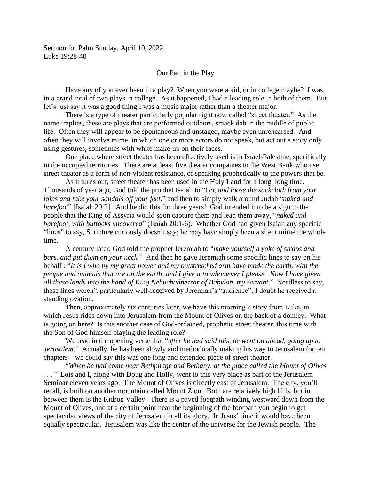## Our Part in the Play

Have any of you ever been in a play? When you were a kid, or in college maybe? I was in a grand total of two plays in college. As it happened, I had a leading role in both of them. But let's just say it was a good thing I was a music major rather than a theater major.

There is a type of theater particularly popular right now called "street theater." As the name implies, these are plays that are performed outdoors, smack dab in the middle of public life. Often they will appear to be spontaneous and unstaged, maybe even unrehearsed. And often they will involve mime, in which one or more actors do not speak, but act out a story only using gestures, sometimes with white make-up on their faces.

One place where street theater has been effectively used is in Israel-Palestine, specifically in the occupied territories. There are at least five theater companies in the West Bank who use street theater as a form of non-violent resistance, of speaking prophetically to the powers that be.

As it turns out, street theater has been used in the Holy Land for a long, long time. Thousands of year ago, God told the prophet Isaiah to "*Go, and loose the sackcloth from your loins and take your sandals off your feet*," and then to simply walk around Judah "*naked and barefoot*" [Isaiah 20:2]. And he did this for three years! God intended it to be a sign to the people that the King of Assyria would soon capture them and lead them away, "*naked and barefoot, with buttocks uncovered*" (Isaiah 20:1-6). Whether God had given Isaiah any specific "lines" to say, Scripture curiously doesn't say; he may have simply been a silent mime the whole time.

A century later, God told the prophet Jeremiah to "*make yourself a yoke of straps and bars, and put them on your neck.*" And then he gave Jeremiah some specific lines to say on his behalf : "*It is I who by my great power and my outstretched arm have made the earth, with the people and animals that are on the earth, and I give it to whomever I please. Now I have given all these lands into the hand of King Nebuchadnezzar of Babylon, my servant*." Needless to say, these lines weren't particularly well-received by Jeremiah's "audience"; I doubt he received a standing ovation.

Then, approximately six centuries later, we have this morning's story from Luke, in which Jesus rides down into Jerusalem from the Mount of Olives on the back of a donkey. What is going on here? Is this another case of God-ordained, prophetic street theater, this time with the Son of God himself playing the leading role?

We read in the opening verse that "a*fter he had said this, he went on ahead, going up to Jerusalem*." Actually, he has been slowly and methodically making his way to Jerusalem for ten chapters—we could say this was one long and extended piece of street theater.

"*When he had come near Bethphage and Bethany, at the place called the Mount of Olives . . ."* Lois and I, along with Doug and Holly, went to this very place as part of the Jerusalem Seminar eleven years ago. The Mount of Olives is directly east of Jerusalem. The city, you'll recall, is built on another mountain called Mount Zion. Both are relatively high hills, but in between them is the Kidron Valley. There is a paved footpath winding westward down from the Mount of Olives, and at a certain point near the beginning of the footpath you begin to get spectacular views of the city of Jerusalem in all its glory. In Jesus' time it would have been equally spectacular. Jerusalem was like the center of the universe for the Jewish people. The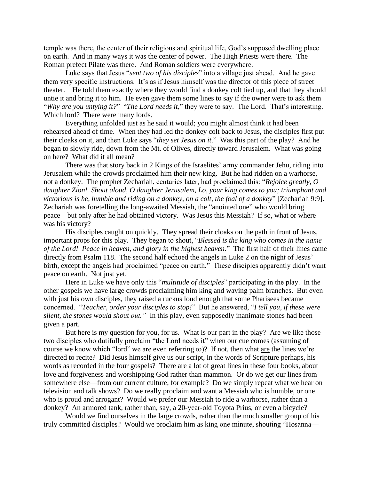temple was there, the center of their religious and spiritual life, God's supposed dwelling place on earth. And in many ways it was the center of power. The High Priests were there. The Roman prefect Pilate was there. And Roman soldiers were everywhere.

Luke says that Jesus "*sent two of his disciples*" into a village just ahead. And he gave them very specific instructions. It's as if Jesus himself was the director of this piece of street theater. He told them exactly where they would find a donkey colt tied up, and that they should untie it and bring it to him. He even gave them some lines to say if the owner were to ask them "*Why are you untying it?*" "*The Lord needs it*," they were to say. The Lord. That's interesting. Which lord? There were many lords.

Everything unfolded just as he said it would; you might almost think it had been rehearsed ahead of time. When they had led the donkey colt back to Jesus, the disciples first put their cloaks on it, and then Luke says "*they set Jesus on it*." Was this part of the play? And he began to slowly ride, down from the Mt. of Olives, directly toward Jerusalem. What was going on here? What did it all mean?

There was that story back in 2 Kings of the Israelites' army commander Jehu, riding into Jerusalem while the crowds proclaimed him their new king. But he had ridden on a warhorse, not a donkey. The prophet Zechariah, centuries later, had proclaimed this: "*Rejoice greatly, O daughter Zion! Shout aloud, O daughter Jerusalem, Lo, your king comes to you; triumphant and victorious is he, humble and riding on a donkey, on a colt, the foal of a donkey*" [Zechariah 9:9]. Zechariah was foretelling the long-awaited Messiah, the "anointed one" who would bring peace—but only after he had obtained victory. Was Jesus this Messiah? If so, what or where was his victory?

His disciples caught on quickly. They spread their cloaks on the path in front of Jesus, important props for this play. They began to shout, "*Blessed is the king who comes in the name of the Lord! Peace in heaven, and glory in the highest heaven*." The first half of their lines came directly from Psalm 118. The second half echoed the angels in Luke 2 on the night of Jesus' birth, except the angels had proclaimed "peace on earth." These disciples apparently didn't want peace on earth. Not just yet.

Here in Luke we have only this "*multitude of disciples*" participating in the play. In the other gospels we have large crowds proclaiming him king and waving palm branches. But even with just his own disciples, they raised a ruckus loud enough that some Pharisees became concerned. "*Teacher, order your disciples to stop!*" But he answered, "*I tell you, if these were silent, the stones would shout out."* In this play, even supposedly inanimate stones had been given a part.

But here is my question for you, for us. What is our part in the play? Are we like those two disciples who dutifully proclaim "the Lord needs it" when our cue comes (assuming of course we know which "lord" we are even referring to)? If not, then what are the lines we're directed to recite? Did Jesus himself give us our script, in the words of Scripture perhaps, his words as recorded in the four gospels? There are a lot of great lines in these four books, about love and forgiveness and worshipping God rather than mammon. Or do we get our lines from somewhere else—from our current culture, for example? Do we simply repeat what we hear on television and talk shows? Do we really proclaim and want a Messiah who is humble, or one who is proud and arrogant? Would we prefer our Messiah to ride a warhorse, rather than a donkey? An armored tank, rather than, say, a 20-year-old Toyota Prius, or even a bicycle?

Would we find ourselves in the large crowds, rather than the much smaller group of his truly committed disciples? Would we proclaim him as king one minute, shouting "Hosanna